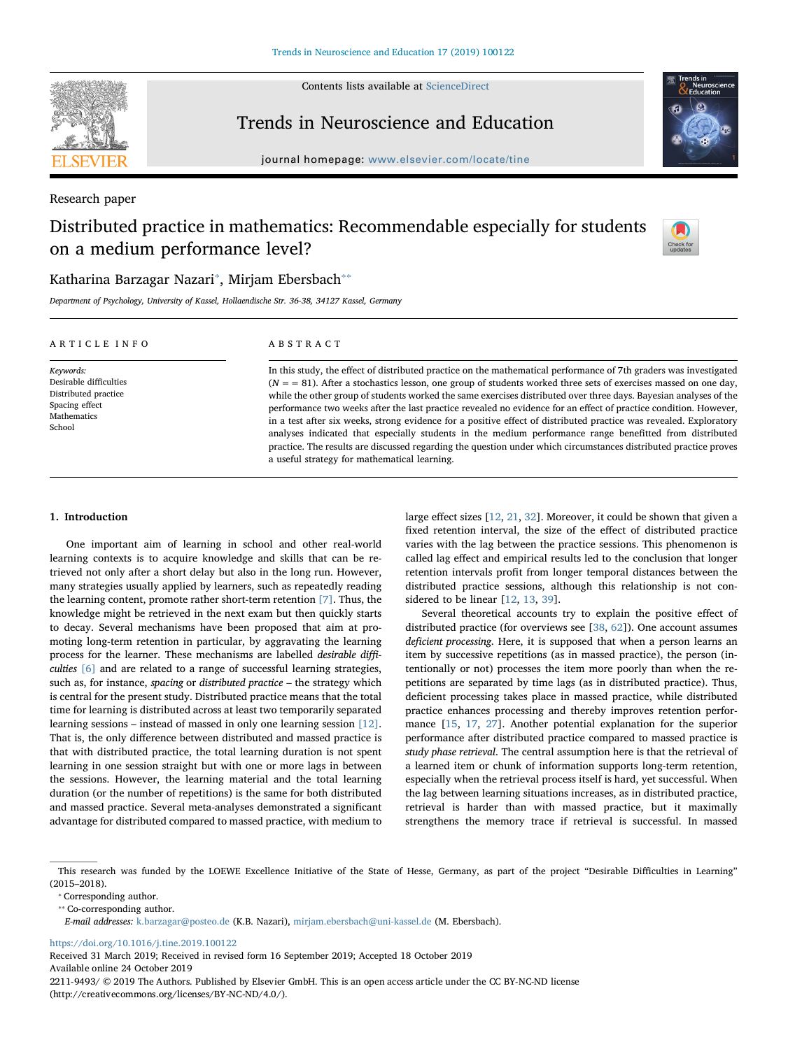Contents lists available at [ScienceDirect](http://www.sciencedirect.com/science/journal/22119493)

# Trends in Neuroscience and Education



journal homepage: [www.elsevier.com/locate/tine](https://www.elsevier.com/locate/tine)

Research paper

# Distributed practice in mathematics: Recommendable especially for students on a medium performance level?



# Katharina Barzagar Nazari $^\ast$ , Mirjam Ebersbach $^{\ast\ast}$

Department of Psychology, University of Kassel, Hollaendische Str. 36-38, 34127 Kassel, Germany

| ARTICLE INFO                                                                                           | ABSTRACT                                                                                                                                                                                                                                                                                                                                                                                                                                                                                                                                                                                                                                                                                                                                                                                                                                                                            |  |  |  |
|--------------------------------------------------------------------------------------------------------|-------------------------------------------------------------------------------------------------------------------------------------------------------------------------------------------------------------------------------------------------------------------------------------------------------------------------------------------------------------------------------------------------------------------------------------------------------------------------------------------------------------------------------------------------------------------------------------------------------------------------------------------------------------------------------------------------------------------------------------------------------------------------------------------------------------------------------------------------------------------------------------|--|--|--|
| Keywords:<br>Desirable difficulties<br>Distributed practice<br>Spacing effect<br>Mathematics<br>School | In this study, the effect of distributed practice on the mathematical performance of 7th graders was investigated<br>$(N = 81)$ . After a stochastics lesson, one group of students worked three sets of exercises massed on one day,<br>while the other group of students worked the same exercises distributed over three days. Bayesian analyses of the<br>performance two weeks after the last practice revealed no evidence for an effect of practice condition. However,<br>in a test after six weeks, strong evidence for a positive effect of distributed practice was revealed. Exploratory<br>analyses indicated that especially students in the medium performance range benefitted from distributed<br>practice. The results are discussed regarding the question under which circumstances distributed practice proves<br>a useful strategy for mathematical learning. |  |  |  |

# 1. Introduction

One important aim of learning in school and other real-world learning contexts is to acquire knowledge and skills that can be retrieved not only after a short delay but also in the long run. However, many strategies usually applied by learners, such as repeatedly reading the learning content, promote rather short-term retention [\[7\].](#page-8-0) Thus, the knowledge might be retrieved in the next exam but then quickly starts to decay. Several mechanisms have been proposed that aim at promoting long-term retention in particular, by aggravating the learning process for the learner. These mechanisms are labelled desirable difficulties [\[6\]](#page-8-1) and are related to a range of successful learning strategies, such as, for instance, spacing or distributed practice – the strategy which is central for the present study. Distributed practice means that the total time for learning is distributed across at least two temporarily separated learning sessions – instead of massed in only one learning session [\[12\]](#page-8-2). That is, the only difference between distributed and massed practice is that with distributed practice, the total learning duration is not spent learning in one session straight but with one or more lags in between the sessions. However, the learning material and the total learning duration (or the number of repetitions) is the same for both distributed and massed practice. Several meta-analyses demonstrated a significant advantage for distributed compared to massed practice, with medium to large effect sizes [[12,](#page-8-2) [21](#page-9-0), [32\]](#page-9-1). Moreover, it could be shown that given a fixed retention interval, the size of the effect of distributed practice varies with the lag between the practice sessions. This phenomenon is called lag effect and empirical results led to the conclusion that longer retention intervals profit from longer temporal distances between the distributed practice sessions, although this relationship is not considered to be linear [[12,](#page-8-2) [13,](#page-8-3) [39\]](#page-9-2).

Several theoretical accounts try to explain the positive effect of distributed practice (for overviews see [\[38](#page-9-3), [62\]](#page-9-4)). One account assumes deficient processing. Here, it is supposed that when a person learns an item by successive repetitions (as in massed practice), the person (intentionally or not) processes the item more poorly than when the repetitions are separated by time lags (as in distributed practice). Thus, deficient processing takes place in massed practice, while distributed practice enhances processing and thereby improves retention performance [[15,](#page-8-4) [17](#page-8-5), [27](#page-9-5)]. Another potential explanation for the superior performance after distributed practice compared to massed practice is study phase retrieval. The central assumption here is that the retrieval of a learned item or chunk of information supports long-term retention, especially when the retrieval process itself is hard, yet successful. When the lag between learning situations increases, as in distributed practice, retrieval is harder than with massed practice, but it maximally strengthens the memory trace if retrieval is successful. In massed

<https://doi.org/10.1016/j.tine.2019.100122>

Received 31 March 2019; Received in revised form 16 September 2019; Accepted 18 October 2019 Available online 24 October 2019

2211-9493/ © 2019 The Authors. Published by Elsevier GmbH. This is an open access article under the CC BY-NC-ND license (http://creativecommons.org/licenses/BY-NC-ND/4.0/).

This research was funded by the LOEWE Excellence Initiative of the State of Hesse, Germany, as part of the project "Desirable Difficulties in Learning" (2015–2018).

<span id="page-0-0"></span><sup>⁎</sup> Corresponding author.

<span id="page-0-1"></span><sup>⁎⁎</sup> Co-corresponding author.

E-mail addresses: [k.barzagar@posteo.de](mailto:k.barzagar@posteo.de) (K.B. Nazari), [mirjam.ebersbach@uni-kassel.de](mailto:mirjam.ebersbach@uni-kassel.de) (M. Ebersbach).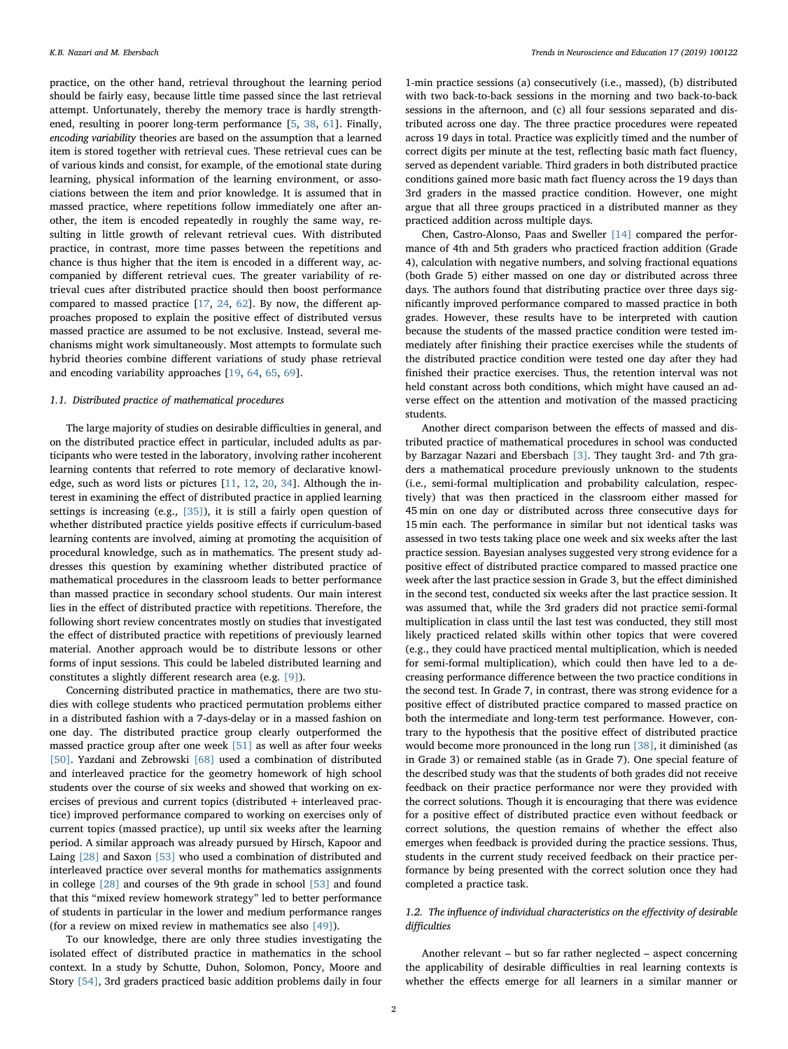practice, on the other hand, retrieval throughout the learning period should be fairly easy, because little time passed since the last retrieval attempt. Unfortunately, thereby the memory trace is hardly strengthened, resulting in poorer long-term performance [[5](#page-8-6), [38,](#page-9-3) [61](#page-9-6)]. Finally, encoding variability theories are based on the assumption that a learned item is stored together with retrieval cues. These retrieval cues can be of various kinds and consist, for example, of the emotional state during learning, physical information of the learning environment, or associations between the item and prior knowledge. It is assumed that in massed practice, where repetitions follow immediately one after another, the item is encoded repeatedly in roughly the same way, resulting in little growth of relevant retrieval cues. With distributed practice, in contrast, more time passes between the repetitions and chance is thus higher that the item is encoded in a different way, accompanied by different retrieval cues. The greater variability of retrieval cues after distributed practice should then boost performance compared to massed practice [[17,](#page-8-5) [24](#page-9-7), [62\]](#page-9-4). By now, the different approaches proposed to explain the positive effect of distributed versus massed practice are assumed to be not exclusive. Instead, several mechanisms might work simultaneously. Most attempts to formulate such hybrid theories combine different variations of study phase retrieval and encoding variability approaches [[19,](#page-9-8) [64,](#page-9-9) [65,](#page-9-10) [69\]](#page-9-11).

## 1.1. Distributed practice of mathematical procedures

The large majority of studies on desirable difficulties in general, and on the distributed practice effect in particular, included adults as participants who were tested in the laboratory, involving rather incoherent learning contents that referred to rote memory of declarative knowledge, such as word lists or pictures [\[11](#page-8-7), [12](#page-8-2), [20](#page-9-12), [34](#page-9-13)]. Although the interest in examining the effect of distributed practice in applied learning settings is increasing (e.g., [\[35\]\)](#page-9-14), it is still a fairly open question of whether distributed practice yields positive effects if curriculum-based learning contents are involved, aiming at promoting the acquisition of procedural knowledge, such as in mathematics. The present study addresses this question by examining whether distributed practice of mathematical procedures in the classroom leads to better performance than massed practice in secondary school students. Our main interest lies in the effect of distributed practice with repetitions. Therefore, the following short review concentrates mostly on studies that investigated the effect of distributed practice with repetitions of previously learned material. Another approach would be to distribute lessons or other forms of input sessions. This could be labeled distributed learning and constitutes a slightly different research area (e.g. [\[9\]\)](#page-8-8).

Concerning distributed practice in mathematics, there are two studies with college students who practiced permutation problems either in a distributed fashion with a 7-days-delay or in a massed fashion on one day. The distributed practice group clearly outperformed the massed practice group after one week [\[51\]](#page-9-15) as well as after four weeks [\[50\]](#page-9-16). Yazdani and Zebrowski [\[68\]](#page-9-17) used a combination of distributed and interleaved practice for the geometry homework of high school students over the course of six weeks and showed that working on exercises of previous and current topics (distributed + interleaved practice) improved performance compared to working on exercises only of current topics (massed practice), up until six weeks after the learning period. A similar approach was already pursued by Hirsch, Kapoor and Laing [\[28\]](#page-9-18) and Saxon [\[53\]](#page-9-19) who used a combination of distributed and interleaved practice over several months for mathematics assignments in college [\[28\]](#page-9-18) and courses of the 9th grade in school [\[53\]](#page-9-19) and found that this "mixed review homework strategy" led to better performance of students in particular in the lower and medium performance ranges (for a review on mixed review in mathematics see also [\[49\]\)](#page-9-20).

To our knowledge, there are only three studies investigating the isolated effect of distributed practice in mathematics in the school context. In a study by Schutte, Duhon, Solomon, Poncy, Moore and Story [\[54\]](#page-9-21), 3rd graders practiced basic addition problems daily in four

1-min practice sessions (a) consecutively (i.e., massed), (b) distributed with two back-to-back sessions in the morning and two back-to-back sessions in the afternoon, and (c) all four sessions separated and distributed across one day. The three practice procedures were repeated across 19 days in total. Practice was explicitly timed and the number of correct digits per minute at the test, reflecting basic math fact fluency, served as dependent variable. Third graders in both distributed practice conditions gained more basic math fact fluency across the 19 days than 3rd graders in the massed practice condition. However, one might argue that all three groups practiced in a distributed manner as they practiced addition across multiple days.

Chen, Castro-Alonso, Paas and Sweller [\[14\]](#page-8-9) compared the performance of 4th and 5th graders who practiced fraction addition (Grade 4), calculation with negative numbers, and solving fractional equations (both Grade 5) either massed on one day or distributed across three days. The authors found that distributing practice over three days significantly improved performance compared to massed practice in both grades. However, these results have to be interpreted with caution because the students of the massed practice condition were tested immediately after finishing their practice exercises while the students of the distributed practice condition were tested one day after they had finished their practice exercises. Thus, the retention interval was not held constant across both conditions, which might have caused an adverse effect on the attention and motivation of the massed practicing students.

Another direct comparison between the effects of massed and distributed practice of mathematical procedures in school was conducted by Barzagar Nazari and Ebersbach [\[3\]](#page-8-10). They taught 3rd- and 7th graders a mathematical procedure previously unknown to the students (i.e., semi-formal multiplication and probability calculation, respectively) that was then practiced in the classroom either massed for 45 min on one day or distributed across three consecutive days for 15 min each. The performance in similar but not identical tasks was assessed in two tests taking place one week and six weeks after the last practice session. Bayesian analyses suggested very strong evidence for a positive effect of distributed practice compared to massed practice one week after the last practice session in Grade 3, but the effect diminished in the second test, conducted six weeks after the last practice session. It was assumed that, while the 3rd graders did not practice semi-formal multiplication in class until the last test was conducted, they still most likely practiced related skills within other topics that were covered (e.g., they could have practiced mental multiplication, which is needed for semi-formal multiplication), which could then have led to a decreasing performance difference between the two practice conditions in the second test. In Grade 7, in contrast, there was strong evidence for a positive effect of distributed practice compared to massed practice on both the intermediate and long-term test performance. However, contrary to the hypothesis that the positive effect of distributed practice would become more pronounced in the long run [\[38\]](#page-9-3), it diminished (as in Grade 3) or remained stable (as in Grade 7). One special feature of the described study was that the students of both grades did not receive feedback on their practice performance nor were they provided with the correct solutions. Though it is encouraging that there was evidence for a positive effect of distributed practice even without feedback or correct solutions, the question remains of whether the effect also emerges when feedback is provided during the practice sessions. Thus, students in the current study received feedback on their practice performance by being presented with the correct solution once they had completed a practice task.

## 1.2. The influence of individual characteristics on the effectivity of desirable difficulties

Another relevant – but so far rather neglected – aspect concerning the applicability of desirable difficulties in real learning contexts is whether the effects emerge for all learners in a similar manner or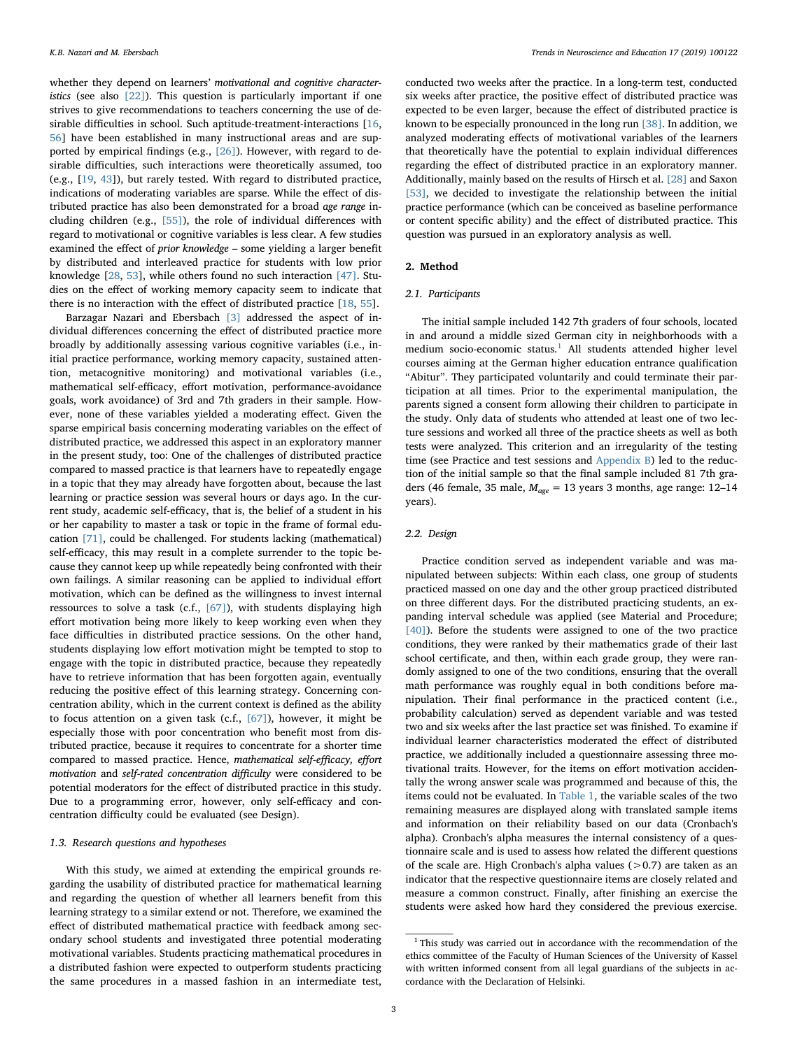whether they depend on learners' motivational and cognitive characteristics (see also [\[22\]\)](#page-9-22). This question is particularly important if one strives to give recommendations to teachers concerning the use of desirable difficulties in school. Such aptitude-treatment-interactions [\[16](#page-8-11), [56\]](#page-9-23) have been established in many instructional areas and are supported by empirical findings (e.g., [\[26\]\)](#page-9-24). However, with regard to desirable difficulties, such interactions were theoretically assumed, too (e.g., [[19,](#page-9-8) [43\]](#page-9-25)), but rarely tested. With regard to distributed practice, indications of moderating variables are sparse. While the effect of distributed practice has also been demonstrated for a broad age range including children (e.g., [\[55\]](#page-9-26)), the role of individual differences with regard to motivational or cognitive variables is less clear. A few studies examined the effect of prior knowledge – some yielding a larger benefit by distributed and interleaved practice for students with low prior knowledge [[28,](#page-9-18) [53\]](#page-9-19), while others found no such interaction [\[47\].](#page-9-27) Studies on the effect of working memory capacity seem to indicate that there is no interaction with the effect of distributed practice [[18,](#page-8-12) [55](#page-9-26)].

Barzagar Nazari and Ebersbach [\[3\]](#page-8-10) addressed the aspect of individual differences concerning the effect of distributed practice more broadly by additionally assessing various cognitive variables (i.e., initial practice performance, working memory capacity, sustained attention, metacognitive monitoring) and motivational variables (i.e., mathematical self-efficacy, effort motivation, performance-avoidance goals, work avoidance) of 3rd and 7th graders in their sample. However, none of these variables yielded a moderating effect. Given the sparse empirical basis concerning moderating variables on the effect of distributed practice, we addressed this aspect in an exploratory manner in the present study, too: One of the challenges of distributed practice compared to massed practice is that learners have to repeatedly engage in a topic that they may already have forgotten about, because the last learning or practice session was several hours or days ago. In the current study, academic self-efficacy, that is, the belief of a student in his or her capability to master a task or topic in the frame of formal education [\[71\],](#page-9-28) could be challenged. For students lacking (mathematical) self-efficacy, this may result in a complete surrender to the topic because they cannot keep up while repeatedly being confronted with their own failings. A similar reasoning can be applied to individual effort motivation, which can be defined as the willingness to invest internal ressources to solve a task (c.f., [\[67\]](#page-9-29)), with students displaying high effort motivation being more likely to keep working even when they face difficulties in distributed practice sessions. On the other hand, students displaying low effort motivation might be tempted to stop to engage with the topic in distributed practice, because they repeatedly have to retrieve information that has been forgotten again, eventually reducing the positive effect of this learning strategy. Concerning concentration ability, which in the current context is defined as the ability to focus attention on a given task (c.f., [\[67\]](#page-9-29)), however, it might be especially those with poor concentration who benefit most from distributed practice, because it requires to concentrate for a shorter time compared to massed practice. Hence, mathematical self-efficacy, effort motivation and self-rated concentration difficulty were considered to be potential moderators for the effect of distributed practice in this study. Due to a programming error, however, only self-efficacy and concentration difficulty could be evaluated (see Design).

## 1.3. Research questions and hypotheses

With this study, we aimed at extending the empirical grounds regarding the usability of distributed practice for mathematical learning and regarding the question of whether all learners benefit from this learning strategy to a similar extend or not. Therefore, we examined the effect of distributed mathematical practice with feedback among secondary school students and investigated three potential moderating motivational variables. Students practicing mathematical procedures in a distributed fashion were expected to outperform students practicing the same procedures in a massed fashion in an intermediate test,

conducted two weeks after the practice. In a long-term test, conducted six weeks after practice, the positive effect of distributed practice was expected to be even larger, because the effect of distributed practice is known to be especially pronounced in the long run [\[38\].](#page-9-3) In addition, we analyzed moderating effects of motivational variables of the learners that theoretically have the potential to explain individual differences regarding the effect of distributed practice in an exploratory manner. Additionally, mainly based on the results of Hirsch et al. [\[28\]](#page-9-18) and Saxon [\[53\]](#page-9-19), we decided to investigate the relationship between the initial practice performance (which can be conceived as baseline performance or content specific ability) and the effect of distributed practice. This question was pursued in an exploratory analysis as well.

# 2. Method

## 2.1. Participants

The initial sample included 142 7th graders of four schools, located in and around a middle sized German city in neighborhoods with a medium socio-economic status.<sup>[1](#page-2-0)</sup> All students attended higher level courses aiming at the German higher education entrance qualification "Abitur". They participated voluntarily and could terminate their participation at all times. Prior to the experimental manipulation, the parents signed a consent form allowing their children to participate in the study. Only data of students who attended at least one of two lecture sessions and worked all three of the practice sheets as well as both tests were analyzed. This criterion and an irregularity of the testing time (see Practice and test sessions and [Appendix B](#page-8-13)) led to the reduction of the initial sample so that the final sample included 81 7th graders (46 female, 35 male,  $M_{age} = 13$  years 3 months, age range: 12-14 years).

## 2.2. Design

Practice condition served as independent variable and was manipulated between subjects: Within each class, one group of students practiced massed on one day and the other group practiced distributed on three different days. For the distributed practicing students, an expanding interval schedule was applied (see Material and Procedure; [\[40\]](#page-9-30)). Before the students were assigned to one of the two practice conditions, they were ranked by their mathematics grade of their last school certificate, and then, within each grade group, they were randomly assigned to one of the two conditions, ensuring that the overall math performance was roughly equal in both conditions before manipulation. Their final performance in the practiced content (i.e., probability calculation) served as dependent variable and was tested two and six weeks after the last practice set was finished. To examine if individual learner characteristics moderated the effect of distributed practice, we additionally included a questionnaire assessing three motivational traits. However, for the items on effort motivation accidentally the wrong answer scale was programmed and because of this, the items could not be evaluated. In [Table 1](#page-3-0), the variable scales of the two remaining measures are displayed along with translated sample items and information on their reliability based on our data (Cronbach's alpha). Cronbach's alpha measures the internal consistency of a questionnaire scale and is used to assess how related the different questions of the scale are. High Cronbach's alpha values  $(>0.7)$  are taken as an indicator that the respective questionnaire items are closely related and measure a common construct. Finally, after finishing an exercise the students were asked how hard they considered the previous exercise.

<span id="page-2-0"></span><sup>&</sup>lt;sup>1</sup> This study was carried out in accordance with the recommendation of the ethics committee of the Faculty of Human Sciences of the University of Kassel with written informed consent from all legal guardians of the subjects in accordance with the Declaration of Helsinki.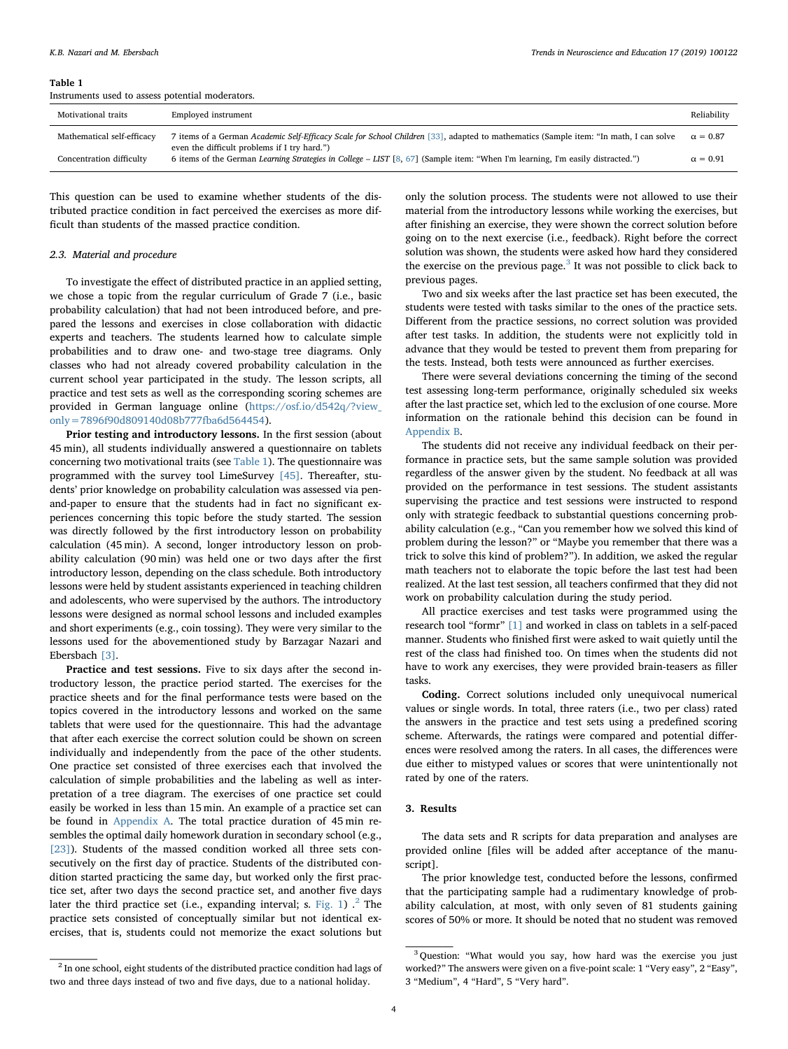# <span id="page-3-0"></span>Table 1

Instruments used to assess potential moderators.

| Motivational traits        | Employed instrument                                                                                                                                                                   | Reliability     |
|----------------------------|---------------------------------------------------------------------------------------------------------------------------------------------------------------------------------------|-----------------|
| Mathematical self-efficacy | 7 items of a German Academic Self-Efficacy Scale for School Children [33], adapted to mathematics (Sample item: "In math, I can solve<br>even the difficult problems if I try hard.") | $\alpha = 0.87$ |
| Concentration difficulty   | 6 items of the German Learning Strategies in College – LIST [8, 67] (Sample item: "When I'm learning, I'm easily distracted.")                                                        | $\alpha = 0.91$ |

This question can be used to examine whether students of the distributed practice condition in fact perceived the exercises as more difficult than students of the massed practice condition.

## 2.3. Material and procedure

To investigate the effect of distributed practice in an applied setting, we chose a topic from the regular curriculum of Grade 7 (i.e., basic probability calculation) that had not been introduced before, and prepared the lessons and exercises in close collaboration with didactic experts and teachers. The students learned how to calculate simple probabilities and to draw one- and two-stage tree diagrams. Only classes who had not already covered probability calculation in the current school year participated in the study. The lesson scripts, all practice and test sets as well as the corresponding scoring schemes are provided in German language online [\(https://osf.io/d542q/?view\\_](https://osf.io/d542q/?view_only=7896f90d809140d08b777fba6d564454) [only=7896f90d809140d08b777fba6d564454](https://osf.io/d542q/?view_only=7896f90d809140d08b777fba6d564454)).

Prior testing and introductory lessons. In the first session (about 45 min), all students individually answered a questionnaire on tablets concerning two motivational traits (see [Table 1\)](#page-3-0). The questionnaire was programmed with the survey tool LimeSurvey [\[45\].](#page-9-31) Thereafter, students' prior knowledge on probability calculation was assessed via penand-paper to ensure that the students had in fact no significant experiences concerning this topic before the study started. The session was directly followed by the first introductory lesson on probability calculation (45 min). A second, longer introductory lesson on probability calculation (90 min) was held one or two days after the first introductory lesson, depending on the class schedule. Both introductory lessons were held by student assistants experienced in teaching children and adolescents, who were supervised by the authors. The introductory lessons were designed as normal school lessons and included examples and short experiments (e.g., coin tossing). They were very similar to the lessons used for the abovementioned study by Barzagar Nazari and Ebersbach [\[3\].](#page-8-10)

Practice and test sessions. Five to six days after the second introductory lesson, the practice period started. The exercises for the practice sheets and for the final performance tests were based on the topics covered in the introductory lessons and worked on the same tablets that were used for the questionnaire. This had the advantage that after each exercise the correct solution could be shown on screen individually and independently from the pace of the other students. One practice set consisted of three exercises each that involved the calculation of simple probabilities and the labeling as well as interpretation of a tree diagram. The exercises of one practice set could easily be worked in less than 15 min. An example of a practice set can be found in [Appendix A.](#page-7-0) The total practice duration of 45 min resembles the optimal daily homework duration in secondary school (e.g., [\[23\]](#page-9-32)). Students of the massed condition worked all three sets consecutively on the first day of practice. Students of the distributed condition started practicing the same day, but worked only the first practice set, after two days the second practice set, and another five days later the third practice set (i.e., expanding interval; s. [Fig. 1\)](#page-4-0)  $\cdot^2$  $\cdot^2$  The practice sets consisted of conceptually similar but not identical exercises, that is, students could not memorize the exact solutions but only the solution process. The students were not allowed to use their material from the introductory lessons while working the exercises, but after finishing an exercise, they were shown the correct solution before going on to the next exercise (i.e., feedback). Right before the correct solution was shown, the students were asked how hard they considered the exercise on the previous page.<sup>[3](#page-3-2)</sup> It was not possible to click back to previous pages.

Two and six weeks after the last practice set has been executed, the students were tested with tasks similar to the ones of the practice sets. Different from the practice sessions, no correct solution was provided after test tasks. In addition, the students were not explicitly told in advance that they would be tested to prevent them from preparing for the tests. Instead, both tests were announced as further exercises.

There were several deviations concerning the timing of the second test assessing long-term performance, originally scheduled six weeks after the last practice set, which led to the exclusion of one course. More information on the rationale behind this decision can be found in [Appendix B.](#page-8-13)

The students did not receive any individual feedback on their performance in practice sets, but the same sample solution was provided regardless of the answer given by the student. No feedback at all was provided on the performance in test sessions. The student assistants supervising the practice and test sessions were instructed to respond only with strategic feedback to substantial questions concerning probability calculation (e.g., "Can you remember how we solved this kind of problem during the lesson?" or "Maybe you remember that there was a trick to solve this kind of problem?"). In addition, we asked the regular math teachers not to elaborate the topic before the last test had been realized. At the last test session, all teachers confirmed that they did not work on probability calculation during the study period.

All practice exercises and test tasks were programmed using the research tool "formr" [\[1\]](#page-8-14) and worked in class on tablets in a self-paced manner. Students who finished first were asked to wait quietly until the rest of the class had finished too. On times when the students did not have to work any exercises, they were provided brain-teasers as filler tasks.

Coding. Correct solutions included only unequivocal numerical values or single words. In total, three raters (i.e., two per class) rated the answers in the practice and test sets using a predefined scoring scheme. Afterwards, the ratings were compared and potential differences were resolved among the raters. In all cases, the differences were due either to mistyped values or scores that were unintentionally not rated by one of the raters.

# 3. Results

The data sets and R scripts for data preparation and analyses are provided online [files will be added after acceptance of the manuscript].

The prior knowledge test, conducted before the lessons, confirmed that the participating sample had a rudimentary knowledge of probability calculation, at most, with only seven of 81 students gaining scores of 50% or more. It should be noted that no student was removed

<span id="page-3-1"></span><sup>&</sup>lt;sup>2</sup> In one school, eight students of the distributed practice condition had lags of two and three days instead of two and five days, due to a national holiday.

<span id="page-3-2"></span><sup>3</sup> Question: "What would you say, how hard was the exercise you just worked?" The answers were given on a five-point scale: 1 "Very easy", 2 "Easy", 3 "Medium", 4 "Hard", 5 "Very hard".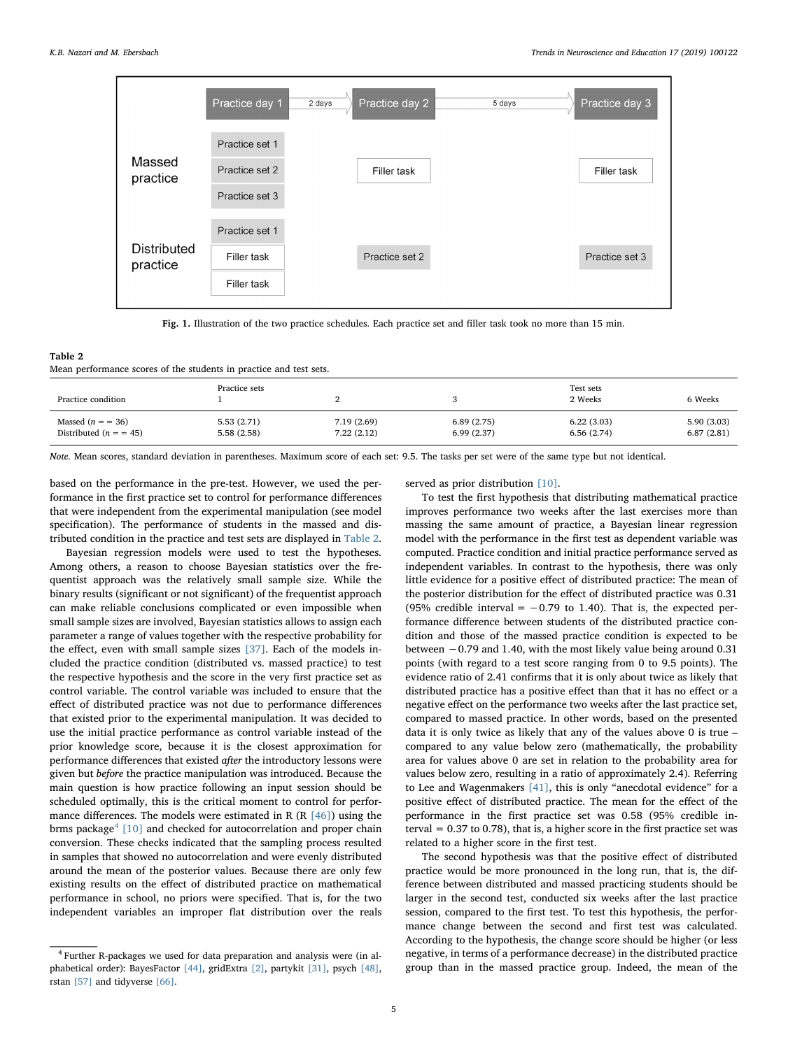<span id="page-4-0"></span>

Fig. 1. Illustration of the two practice schedules. Each practice set and filler task took no more than 15 min.

<span id="page-4-1"></span>

| Table 2                                                            |  |
|--------------------------------------------------------------------|--|
| Mean performance scores of the students in practice and test sets. |  |

| Practice condition     | Practice sets |            |            | Test sets<br>2 Weeks | 6 Weeks    |
|------------------------|---------------|------------|------------|----------------------|------------|
| Massed $(n = 36)$      | 5.53(2.71)    | 7.19(2.69) | 6.89(2.75) | 6.22(3.03)           | 5.90(3.03) |
| Distributed $(n = 45)$ | 5.58 (2.58)   | 7.22(2.12) | 6.99(2.37) | 6.56(2.74)           | 6.87(2.81) |

Note. Mean scores, standard deviation in parentheses. Maximum score of each set: 9.5. The tasks per set were of the same type but not identical.

based on the performance in the pre-test. However, we used the performance in the first practice set to control for performance differences that were independent from the experimental manipulation (see model specification). The performance of students in the massed and distributed condition in the practice and test sets are displayed in [Table 2](#page-4-1).

Bayesian regression models were used to test the hypotheses. Among others, a reason to choose Bayesian statistics over the frequentist approach was the relatively small sample size. While the binary results (significant or not significant) of the frequentist approach can make reliable conclusions complicated or even impossible when small sample sizes are involved, Bayesian statistics allows to assign each parameter a range of values together with the respective probability for the effect, even with small sample sizes [\[37\].](#page-9-34) Each of the models included the practice condition (distributed vs. massed practice) to test the respective hypothesis and the score in the very first practice set as control variable. The control variable was included to ensure that the effect of distributed practice was not due to performance differences that existed prior to the experimental manipulation. It was decided to use the initial practice performance as control variable instead of the prior knowledge score, because it is the closest approximation for performance differences that existed after the introductory lessons were given but before the practice manipulation was introduced. Because the main question is how practice following an input session should be scheduled optimally, this is the critical moment to control for performance differences. The models were estimated in R  $(R [46])$  $(R [46])$  $(R [46])$  using the brms package<sup>[4](#page-4-2)</sup> [\[10\]](#page-8-16) and checked for autocorrelation and proper chain conversion. These checks indicated that the sampling process resulted in samples that showed no autocorrelation and were evenly distributed around the mean of the posterior values. Because there are only few existing results on the effect of distributed practice on mathematical performance in school, no priors were specified. That is, for the two independent variables an improper flat distribution over the reals served as prior distribution [\[10\].](#page-8-16)

To test the first hypothesis that distributing mathematical practice improves performance two weeks after the last exercises more than massing the same amount of practice, a Bayesian linear regression model with the performance in the first test as dependent variable was computed. Practice condition and initial practice performance served as independent variables. In contrast to the hypothesis, there was only little evidence for a positive effect of distributed practice: The mean of the posterior distribution for the effect of distributed practice was 0.31 (95% credible interval =  $-0.79$  to 1.40). That is, the expected performance difference between students of the distributed practice condition and those of the massed practice condition is expected to be between −0.79 and 1.40, with the most likely value being around 0.31 points (with regard to a test score ranging from 0 to 9.5 points). The evidence ratio of 2.41 confirms that it is only about twice as likely that distributed practice has a positive effect than that it has no effect or a negative effect on the performance two weeks after the last practice set, compared to massed practice. In other words, based on the presented data it is only twice as likely that any of the values above 0 is true – compared to any value below zero (mathematically, the probability area for values above 0 are set in relation to the probability area for values below zero, resulting in a ratio of approximately 2.4). Referring to Lee and Wagenmakers [\[41\]](#page-9-36), this is only "anecdotal evidence" for a positive effect of distributed practice. The mean for the effect of the performance in the first practice set was 0.58 (95% credible interval  $= 0.37$  to 0.78), that is, a higher score in the first practice set was related to a higher score in the first test.

The second hypothesis was that the positive effect of distributed practice would be more pronounced in the long run, that is, the difference between distributed and massed practicing students should be larger in the second test, conducted six weeks after the last practice session, compared to the first test. To test this hypothesis, the performance change between the second and first test was calculated. According to the hypothesis, the change score should be higher (or less negative, in terms of a performance decrease) in the distributed practice group than in the massed practice group. Indeed, the mean of the

<span id="page-4-2"></span><sup>4</sup> Further R-packages we used for data preparation and analysis were (in alphabetical order): BayesFactor [\[44\],](#page-9-37) gridExtra [\[2\]](#page-8-17), partykit [\[31\],](#page-9-38) psych [\[48\],](#page-9-39) rstan [\[57\]](#page-9-40) and tidyverse [\[66\].](#page-9-41)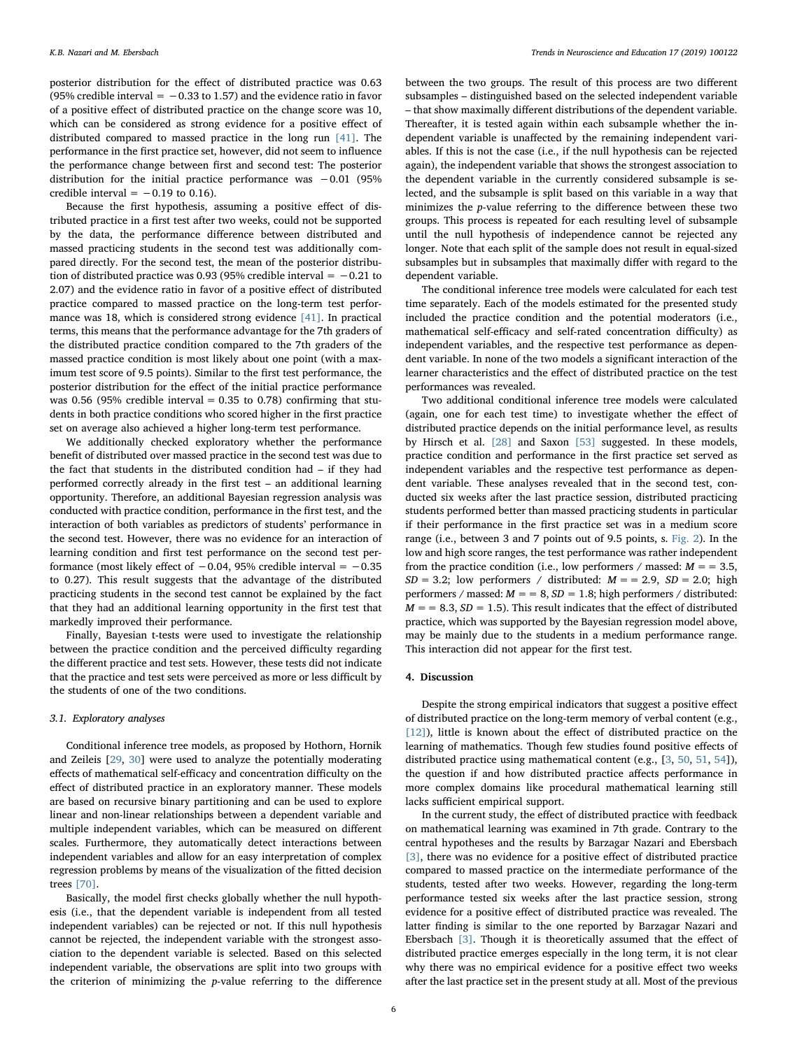posterior distribution for the effect of distributed practice was 0.63 (95% credible interval =  $-0.33$  to 1.57) and the evidence ratio in favor of a positive effect of distributed practice on the change score was 10, which can be considered as strong evidence for a positive effect of distributed compared to massed practice in the long run [\[41\]](#page-9-36). The performance in the first practice set, however, did not seem to influence the performance change between first and second test: The posterior distribution for the initial practice performance was −0.01 (95% credible interval =  $-0.19$  to 0.16).

Because the first hypothesis, assuming a positive effect of distributed practice in a first test after two weeks, could not be supported by the data, the performance difference between distributed and massed practicing students in the second test was additionally compared directly. For the second test, the mean of the posterior distribution of distributed practice was 0.93 (95% credible interval = −0.21 to 2.07) and the evidence ratio in favor of a positive effect of distributed practice compared to massed practice on the long-term test performance was 18, which is considered strong evidence [\[41\].](#page-9-36) In practical terms, this means that the performance advantage for the 7th graders of the distributed practice condition compared to the 7th graders of the massed practice condition is most likely about one point (with a maximum test score of 9.5 points). Similar to the first test performance, the posterior distribution for the effect of the initial practice performance was 0.56 (95% credible interval =  $0.35$  to 0.78) confirming that students in both practice conditions who scored higher in the first practice set on average also achieved a higher long-term test performance.

We additionally checked exploratory whether the performance benefit of distributed over massed practice in the second test was due to the fact that students in the distributed condition had – if they had performed correctly already in the first test – an additional learning opportunity. Therefore, an additional Bayesian regression analysis was conducted with practice condition, performance in the first test, and the interaction of both variables as predictors of students' performance in the second test. However, there was no evidence for an interaction of learning condition and first test performance on the second test performance (most likely effect of  $-0.04$ , 95% credible interval =  $-0.35$ to 0.27). This result suggests that the advantage of the distributed practicing students in the second test cannot be explained by the fact that they had an additional learning opportunity in the first test that markedly improved their performance.

Finally, Bayesian t-tests were used to investigate the relationship between the practice condition and the perceived difficulty regarding the different practice and test sets. However, these tests did not indicate that the practice and test sets were perceived as more or less difficult by the students of one of the two conditions.

#### 3.1. Exploratory analyses

Conditional inference tree models, as proposed by Hothorn, Hornik and Zeileis [\[29](#page-9-42), [30](#page-9-43)] were used to analyze the potentially moderating effects of mathematical self-efficacy and concentration difficulty on the effect of distributed practice in an exploratory manner. These models are based on recursive binary partitioning and can be used to explore linear and non-linear relationships between a dependent variable and multiple independent variables, which can be measured on different scales. Furthermore, they automatically detect interactions between independent variables and allow for an easy interpretation of complex regression problems by means of the visualization of the fitted decision trees [\[70\].](#page-9-44)

Basically, the model first checks globally whether the null hypothesis (i.e., that the dependent variable is independent from all tested independent variables) can be rejected or not. If this null hypothesis cannot be rejected, the independent variable with the strongest association to the dependent variable is selected. Based on this selected independent variable, the observations are split into two groups with the criterion of minimizing the p-value referring to the difference between the two groups. The result of this process are two different subsamples – distinguished based on the selected independent variable – that show maximally different distributions of the dependent variable. Thereafter, it is tested again within each subsample whether the independent variable is unaffected by the remaining independent variables. If this is not the case (i.e., if the null hypothesis can be rejected again), the independent variable that shows the strongest association to the dependent variable in the currently considered subsample is selected, and the subsample is split based on this variable in a way that minimizes the p-value referring to the difference between these two groups. This process is repeated for each resulting level of subsample until the null hypothesis of independence cannot be rejected any longer. Note that each split of the sample does not result in equal-sized subsamples but in subsamples that maximally differ with regard to the dependent variable.

The conditional inference tree models were calculated for each test time separately. Each of the models estimated for the presented study included the practice condition and the potential moderators (i.e., mathematical self-efficacy and self-rated concentration difficulty) as independent variables, and the respective test performance as dependent variable. In none of the two models a significant interaction of the learner characteristics and the effect of distributed practice on the test performances was revealed.

Two additional conditional inference tree models were calculated (again, one for each test time) to investigate whether the effect of distributed practice depends on the initial performance level, as results by Hirsch et al. [\[28\]](#page-9-18) and Saxon [\[53\]](#page-9-19) suggested. In these models, practice condition and performance in the first practice set served as independent variables and the respective test performance as dependent variable. These analyses revealed that in the second test, conducted six weeks after the last practice session, distributed practicing students performed better than massed practicing students in particular if their performance in the first practice set was in a medium score range (i.e., between 3 and 7 points out of 9.5 points, s. [Fig. 2](#page-6-0)). In the low and high score ranges, the test performance was rather independent from the practice condition (i.e., low performers / massed:  $M = = 3.5$ ,  $SD = 3.2$ ; low performers / distributed:  $M = 2.9$ ,  $SD = 2.0$ ; high performers / massed:  $M = 8$ ,  $SD = 1.8$ ; high performers / distributed:  $M = 8.3, SD = 1.5$ . This result indicates that the effect of distributed practice, which was supported by the Bayesian regression model above, may be mainly due to the students in a medium performance range. This interaction did not appear for the first test.

#### 4. Discussion

Despite the strong empirical indicators that suggest a positive effect of distributed practice on the long-term memory of verbal content (e.g., [\[12\]](#page-8-2)), little is known about the effect of distributed practice on the learning of mathematics. Though few studies found positive effects of distributed practice using mathematical content (e.g., [\[3,](#page-8-10) [50](#page-9-16), [51](#page-9-15), [54](#page-9-21)]), the question if and how distributed practice affects performance in more complex domains like procedural mathematical learning still lacks sufficient empirical support.

In the current study, the effect of distributed practice with feedback on mathematical learning was examined in 7th grade. Contrary to the central hypotheses and the results by Barzagar Nazari and Ebersbach [\[3\],](#page-8-10) there was no evidence for a positive effect of distributed practice compared to massed practice on the intermediate performance of the students, tested after two weeks. However, regarding the long-term performance tested six weeks after the last practice session, strong evidence for a positive effect of distributed practice was revealed. The latter finding is similar to the one reported by Barzagar Nazari and Ebersbach [\[3\].](#page-8-10) Though it is theoretically assumed that the effect of distributed practice emerges especially in the long term, it is not clear why there was no empirical evidence for a positive effect two weeks after the last practice set in the present study at all. Most of the previous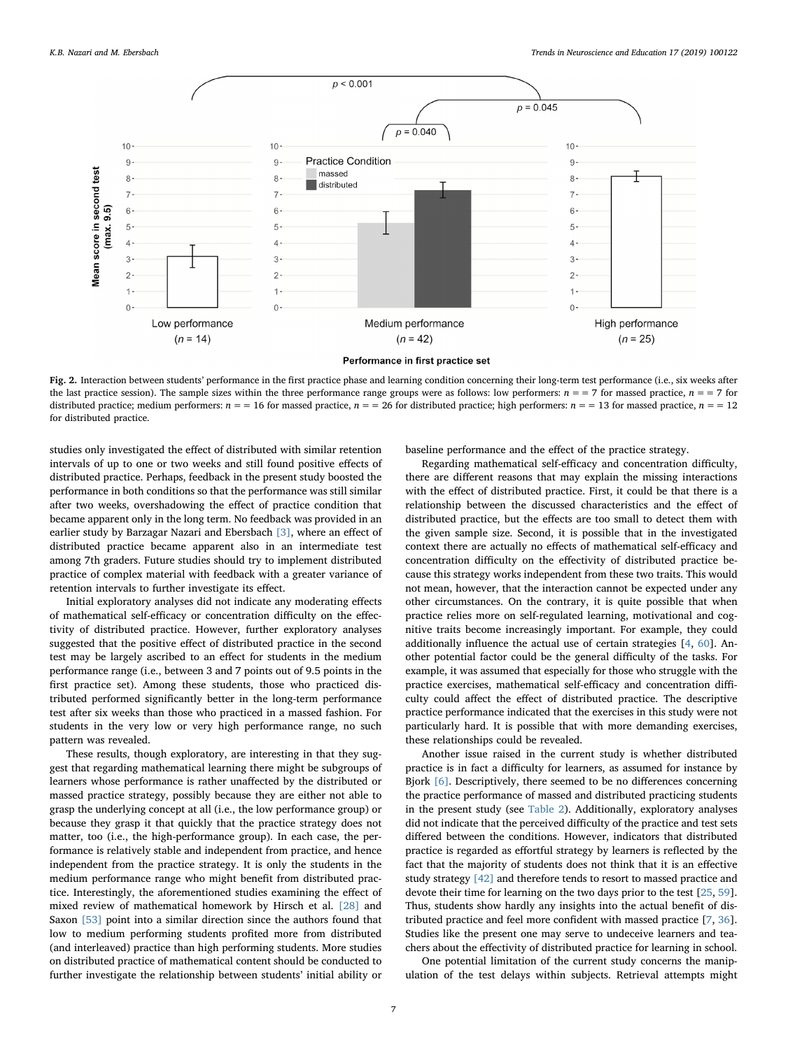<span id="page-6-0"></span>

Fig. 2. Interaction between students' performance in the first practice phase and learning condition concerning their long-term test performance (i.e., six weeks after the last practice session). The sample sizes within the three performance range groups were as follows: low performers:  $n = 7$  for massed practice,  $n = 7$  for distributed practice; medium performers:  $n = 16$  for massed practice,  $n = 26$  for distributed practice; high performers:  $n = 13$  for massed practice,  $n = 12$ for distributed practice.

studies only investigated the effect of distributed with similar retention intervals of up to one or two weeks and still found positive effects of distributed practice. Perhaps, feedback in the present study boosted the performance in both conditions so that the performance was still similar after two weeks, overshadowing the effect of practice condition that became apparent only in the long term. No feedback was provided in an earlier study by Barzagar Nazari and Ebersbach [\[3\],](#page-8-10) where an effect of distributed practice became apparent also in an intermediate test among 7th graders. Future studies should try to implement distributed practice of complex material with feedback with a greater variance of retention intervals to further investigate its effect.

Initial exploratory analyses did not indicate any moderating effects of mathematical self-efficacy or concentration difficulty on the effectivity of distributed practice. However, further exploratory analyses suggested that the positive effect of distributed practice in the second test may be largely ascribed to an effect for students in the medium performance range (i.e., between 3 and 7 points out of 9.5 points in the first practice set). Among these students, those who practiced distributed performed significantly better in the long-term performance test after six weeks than those who practiced in a massed fashion. For students in the very low or very high performance range, no such pattern was revealed.

These results, though exploratory, are interesting in that they suggest that regarding mathematical learning there might be subgroups of learners whose performance is rather unaffected by the distributed or massed practice strategy, possibly because they are either not able to grasp the underlying concept at all (i.e., the low performance group) or because they grasp it that quickly that the practice strategy does not matter, too (i.e., the high-performance group). In each case, the performance is relatively stable and independent from practice, and hence independent from the practice strategy. It is only the students in the medium performance range who might benefit from distributed practice. Interestingly, the aforementioned studies examining the effect of mixed review of mathematical homework by Hirsch et al. [\[28\]](#page-9-18) and Saxon [\[53\]](#page-9-19) point into a similar direction since the authors found that low to medium performing students profited more from distributed (and interleaved) practice than high performing students. More studies on distributed practice of mathematical content should be conducted to further investigate the relationship between students' initial ability or

baseline performance and the effect of the practice strategy.

Regarding mathematical self-efficacy and concentration difficulty, there are different reasons that may explain the missing interactions with the effect of distributed practice. First, it could be that there is a relationship between the discussed characteristics and the effect of distributed practice, but the effects are too small to detect them with the given sample size. Second, it is possible that in the investigated context there are actually no effects of mathematical self-efficacy and concentration difficulty on the effectivity of distributed practice because this strategy works independent from these two traits. This would not mean, however, that the interaction cannot be expected under any other circumstances. On the contrary, it is quite possible that when practice relies more on self-regulated learning, motivational and cognitive traits become increasingly important. For example, they could additionally influence the actual use of certain strategies [[4](#page-8-18), [60\]](#page-9-45). Another potential factor could be the general difficulty of the tasks. For example, it was assumed that especially for those who struggle with the practice exercises, mathematical self-efficacy and concentration difficulty could affect the effect of distributed practice. The descriptive practice performance indicated that the exercises in this study were not particularly hard. It is possible that with more demanding exercises, these relationships could be revealed.

Another issue raised in the current study is whether distributed practice is in fact a difficulty for learners, as assumed for instance by Bjork [\[6\]](#page-8-1). Descriptively, there seemed to be no differences concerning the practice performance of massed and distributed practicing students in the present study (see [Table 2\)](#page-4-1). Additionally, exploratory analyses did not indicate that the perceived difficulty of the practice and test sets differed between the conditions. However, indicators that distributed practice is regarded as effortful strategy by learners is reflected by the fact that the majority of students does not think that it is an effective study strategy [\[42\]](#page-9-46) and therefore tends to resort to massed practice and devote their time for learning on the two days prior to the test [[25,](#page-9-47) [59](#page-9-48)]. Thus, students show hardly any insights into the actual benefit of distributed practice and feel more confident with massed practice [\[7,](#page-8-0) [36](#page-9-49)]. Studies like the present one may serve to undeceive learners and teachers about the effectivity of distributed practice for learning in school.

One potential limitation of the current study concerns the manipulation of the test delays within subjects. Retrieval attempts might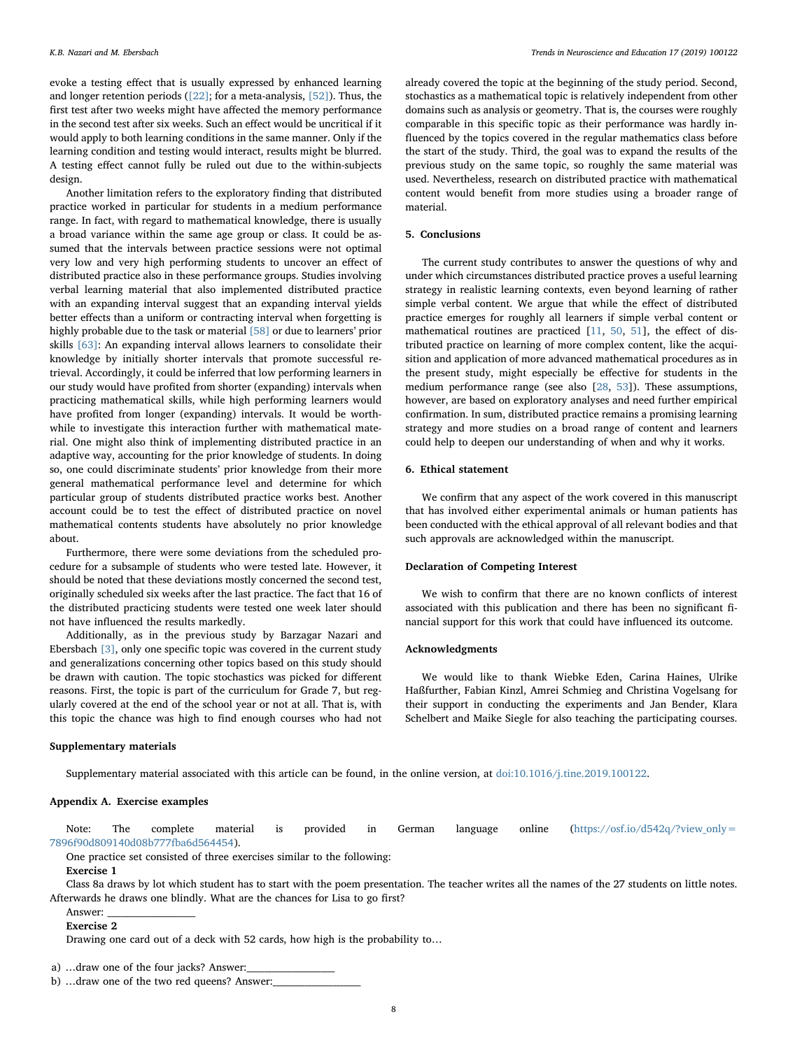evoke a testing effect that is usually expressed by enhanced learning and longer retention periods [\(\[22\]](#page-9-22); for a meta-analysis, [\[52\]\)](#page-9-50). Thus, the first test after two weeks might have affected the memory performance in the second test after six weeks. Such an effect would be uncritical if it would apply to both learning conditions in the same manner. Only if the learning condition and testing would interact, results might be blurred. A testing effect cannot fully be ruled out due to the within-subjects design.

Another limitation refers to the exploratory finding that distributed practice worked in particular for students in a medium performance range. In fact, with regard to mathematical knowledge, there is usually a broad variance within the same age group or class. It could be assumed that the intervals between practice sessions were not optimal very low and very high performing students to uncover an effect of distributed practice also in these performance groups. Studies involving verbal learning material that also implemented distributed practice with an expanding interval suggest that an expanding interval yields better effects than a uniform or contracting interval when forgetting is highly probable due to the task or material [\[58\]](#page-9-51) or due to learners' prior skills [\[63\]](#page-9-52): An expanding interval allows learners to consolidate their knowledge by initially shorter intervals that promote successful retrieval. Accordingly, it could be inferred that low performing learners in our study would have profited from shorter (expanding) intervals when practicing mathematical skills, while high performing learners would have profited from longer (expanding) intervals. It would be worthwhile to investigate this interaction further with mathematical material. One might also think of implementing distributed practice in an adaptive way, accounting for the prior knowledge of students. In doing so, one could discriminate students' prior knowledge from their more general mathematical performance level and determine for which particular group of students distributed practice works best. Another account could be to test the effect of distributed practice on novel mathematical contents students have absolutely no prior knowledge about.

Furthermore, there were some deviations from the scheduled procedure for a subsample of students who were tested late. However, it should be noted that these deviations mostly concerned the second test, originally scheduled six weeks after the last practice. The fact that 16 of the distributed practicing students were tested one week later should not have influenced the results markedly.

Additionally, as in the previous study by Barzagar Nazari and Ebersbach [\[3\]](#page-8-10), only one specific topic was covered in the current study and generalizations concerning other topics based on this study should be drawn with caution. The topic stochastics was picked for different reasons. First, the topic is part of the curriculum for Grade 7, but regularly covered at the end of the school year or not at all. That is, with this topic the chance was high to find enough courses who had not

## Supplementary materials

Supplementary material associated with this article can be found, in the online version, at [doi:10.1016/j.tine.2019.100122](https://doi.org/10.1016/j.tine.2019.100122).

# <span id="page-7-0"></span>Appendix A. Exercise examples

Note: The complete material is provided in German language online [\(https://osf.io/d542q/?view\\_only=](https://osf.io/d542q/?view_only=7896f90d809140d08b777fba6d564454) [7896f90d809140d08b777fba6d564454\)](https://osf.io/d542q/?view_only=7896f90d809140d08b777fba6d564454).

One practice set consisted of three exercises similar to the following:

Exercise 1

Class 8a draws by lot which student has to start with the poem presentation. The teacher writes all the names of the 27 students on little notes. Afterwards he draws one blindly. What are the chances for Lisa to go first?

Answer:

#### Exercise 2

Drawing one card out of a deck with 52 cards, how high is the probability to…

a) ...draw one of the four jacks? Answer:

b) ...draw one of the two red queens? Answer:\_\_\_\_\_\_\_\_\_\_\_\_\_\_\_\_\_\_\_\_\_\_\_\_\_\_\_\_\_\_\_\_\_\_\_

already covered the topic at the beginning of the study period. Second, stochastics as a mathematical topic is relatively independent from other domains such as analysis or geometry. That is, the courses were roughly comparable in this specific topic as their performance was hardly influenced by the topics covered in the regular mathematics class before the start of the study. Third, the goal was to expand the results of the previous study on the same topic, so roughly the same material was used. Nevertheless, research on distributed practice with mathematical content would benefit from more studies using a broader range of material.

# 5. Conclusions

The current study contributes to answer the questions of why and under which circumstances distributed practice proves a useful learning strategy in realistic learning contexts, even beyond learning of rather simple verbal content. We argue that while the effect of distributed practice emerges for roughly all learners if simple verbal content or mathematical routines are practiced [\[11](#page-8-7), [50,](#page-9-16) [51\]](#page-9-15), the effect of distributed practice on learning of more complex content, like the acquisition and application of more advanced mathematical procedures as in the present study, might especially be effective for students in the medium performance range (see also [\[28](#page-9-18), [53](#page-9-19)]). These assumptions, however, are based on exploratory analyses and need further empirical confirmation. In sum, distributed practice remains a promising learning strategy and more studies on a broad range of content and learners could help to deepen our understanding of when and why it works.

## 6. Ethical statement

We confirm that any aspect of the work covered in this manuscript that has involved either experimental animals or human patients has been conducted with the ethical approval of all relevant bodies and that such approvals are acknowledged within the manuscript.

## Declaration of Competing Interest

We wish to confirm that there are no known conflicts of interest associated with this publication and there has been no significant financial support for this work that could have influenced its outcome.

#### Acknowledgments

We would like to thank Wiebke Eden, Carina Haines, Ulrike Haßfurther, Fabian Kinzl, Amrei Schmieg and Christina Vogelsang for their support in conducting the experiments and Jan Bender, Klara Schelbert and Maike Siegle for also teaching the participating courses.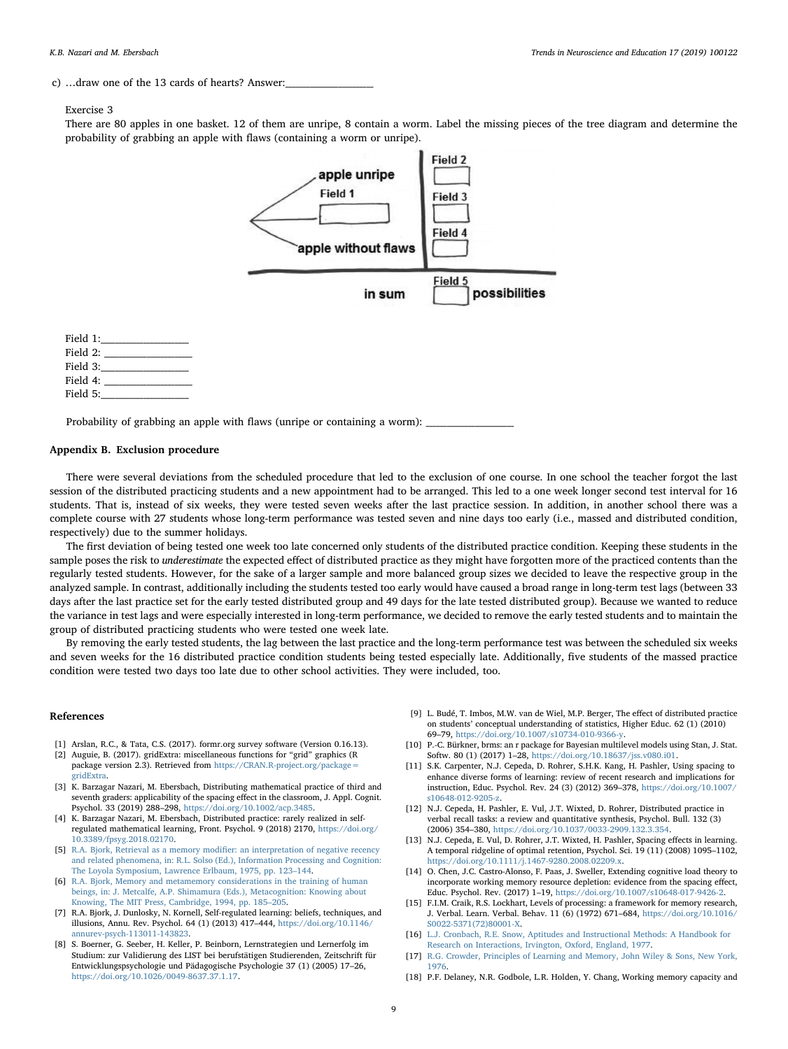c) ...draw one of the 13 cards of hearts? Answer:

#### Exercise 3

There are 80 apples in one basket. 12 of them are unripe, 8 contain a worm. Label the missing pieces of the tree diagram and determine the probability of grabbing an apple with flaws (containing a worm or unripe).



Field  $1:$ Field 2: Field 3: Field 4:

Field 5:

Probability of grabbing an apple with flaws (unripe or containing a worm):

#### <span id="page-8-13"></span>Appendix B. Exclusion procedure

There were several deviations from the scheduled procedure that led to the exclusion of one course. In one school the teacher forgot the last session of the distributed practicing students and a new appointment had to be arranged. This led to a one week longer second test interval for 16 students. That is, instead of six weeks, they were tested seven weeks after the last practice session. In addition, in another school there was a complete course with 27 students whose long-term performance was tested seven and nine days too early (i.e., massed and distributed condition, respectively) due to the summer holidays.

The first deviation of being tested one week too late concerned only students of the distributed practice condition. Keeping these students in the sample poses the risk to *underestimate* the expected effect of distributed practice as they might have forgotten more of the practiced contents than the regularly tested students. However, for the sake of a larger sample and more balanced group sizes we decided to leave the respective group in the analyzed sample. In contrast, additionally including the students tested too early would have caused a broad range in long-term test lags (between 33 days after the last practice set for the early tested distributed group and 49 days for the late tested distributed group). Because we wanted to reduce the variance in test lags and were especially interested in long-term performance, we decided to remove the early tested students and to maintain the group of distributed practicing students who were tested one week late.

By removing the early tested students, the lag between the last practice and the long-term performance test was between the scheduled six weeks and seven weeks for the 16 distributed practice condition students being tested especially late. Additionally, five students of the massed practice condition were tested two days too late due to other school activities. They were included, too.

#### References

- <span id="page-8-14"></span>[1] Arslan, R.C., & Tata, C.S. (2017). formr.org survey software (Version 0.16.13).
- <span id="page-8-17"></span>[2] Auguie, B. (2017). gridExtra: miscellaneous functions for "grid" graphics (R package version 2.3). Retrieved from [https://CRAN.R-project.org/package=](https://CRAN.R-project.org/package=gridExtra) [gridExtra](https://CRAN.R-project.org/package=gridExtra).
- <span id="page-8-10"></span>[3] K. Barzagar Nazari, M. Ebersbach, Distributing mathematical practice of third and seventh graders: applicability of the spacing effect in the classroom, J. Appl. Cognit. Psychol. 33 (2019) 288–298, [https://doi.org/10.1002/acp.3485.](https://doi.org/10.1002/acp.3485)
- <span id="page-8-18"></span>[4] K. Barzagar Nazari, M. Ebersbach, Distributed practice: rarely realized in selfregulated mathematical learning, Front. Psychol. 9 (2018) 2170, [https://doi.org/](https://doi.org/10.3389/fpsyg.2018.02170) [10.3389/fpsyg.2018.02170.](https://doi.org/10.3389/fpsyg.2018.02170)
- <span id="page-8-6"></span>[5] R.A. Bjork, Retrieval as a memory modifi[er: an interpretation of negative recency](http://refhub.elsevier.com/S2211-9493(19)30018-3/sbref0003) [and related phenomena, in: R.L. Solso \(Ed.\), Information Processing and Cognition:](http://refhub.elsevier.com/S2211-9493(19)30018-3/sbref0003) [The Loyola Symposium, Lawrence Erlbaum, 1975, pp. 123](http://refhub.elsevier.com/S2211-9493(19)30018-3/sbref0003)–144.
- <span id="page-8-1"></span>[6] [R.A. Bjork, Memory and metamemory considerations in the training of human](http://refhub.elsevier.com/S2211-9493(19)30018-3/sbref0004) [beings, in: J. Metcalfe, A.P. Shimamura \(Eds.\), Metacognition: Knowing about](http://refhub.elsevier.com/S2211-9493(19)30018-3/sbref0004) [Knowing, The MIT Press, Cambridge, 1994, pp. 185](http://refhub.elsevier.com/S2211-9493(19)30018-3/sbref0004)–205.
- <span id="page-8-0"></span>[7] R.A. Bjork, J. Dunlosky, N. Kornell, Self-regulated learning: beliefs, techniques, and illusions, Annu. Rev. Psychol. 64 (1) (2013) 417–444, [https://doi.org/10.1146/](https://doi.org/10.1146/annurev-psych-113011-143823) [annurev-psych-113011-143823.](https://doi.org/10.1146/annurev-psych-113011-143823)
- <span id="page-8-15"></span>[8] S. Boerner, G. Seeber, H. Keller, P. Beinborn, Lernstrategien und Lernerfolg im Studium: zur Validierung des LIST bei berufstätigen Studierenden, Zeitschrift für Entwicklungspsychologie und Pädagogische Psychologie 37 (1) (2005) 17–26, [https://doi.org/10.1026/0049-8637.37.1.17.](https://doi.org/10.1026/0049-8637.37.1.17)
- <span id="page-8-8"></span>[9] L. Budé, T. Imbos, M.W. van de Wiel, M.P. Berger, The effect of distributed practice on students' conceptual understanding of statistics, Higher Educ. 62 (1) (2010) 69–79, [https://doi.org/10.1007/s10734-010-9366-y.](https://doi.org/10.1007/s10734-010-9366-y)
- <span id="page-8-16"></span>[10] P.-C. Bürkner, brms: an r package for Bayesian multilevel models using Stan, J. Stat. Softw. 80 (1) (2017) 1–28, [https://doi.org/10.18637/jss.v080.i01.](https://doi.org/10.18637/jss.v080.i01)
- <span id="page-8-7"></span>[11] S.K. Carpenter, N.J. Cepeda, D. Rohrer, S.H.K. Kang, H. Pashler, Using spacing to enhance diverse forms of learning: review of recent research and implications for instruction, Educ. Psychol. Rev. 24 (3) (2012) 369–378, [https://doi.org/10.1007/](https://doi.org/10.1007/s10648-012-9205-z) [s10648-012-9205-z.](https://doi.org/10.1007/s10648-012-9205-z)
- <span id="page-8-2"></span>[12] N.J. Cepeda, H. Pashler, E. Vul, J.T. Wixted, D. Rohrer, Distributed practice in verbal recall tasks: a review and quantitative synthesis, Psychol. Bull. 132 (3) (2006) 354–380, [https://doi.org/10.1037/0033-2909.132.3.354.](https://doi.org/10.1037/0033-2909.132.3.354)
- <span id="page-8-3"></span>[13] N.J. Cepeda, E. Vul, D. Rohrer, J.T. Wixted, H. Pashler, Spacing effects in learning. A temporal ridgeline of optimal retention, Psychol. Sci. 19 (11) (2008) 1095–1102, [https://doi.org/10.1111/j.1467-9280.2008.02209.x.](https://doi.org/10.1111/j.1467-9280.2008.02209.x)
- <span id="page-8-9"></span>[14] O. Chen, J.C. Castro-Alonso, F. Paas, J. Sweller, Extending cognitive load theory to incorporate working memory resource depletion: evidence from the spacing effect, Educ. Psychol. Rev. (2017) 1–19, [https://doi.org/10.1007/s10648-017-9426-2.](https://doi.org/10.1007/s10648-017-9426-2)
- <span id="page-8-4"></span>[15] F.I.M. Craik, R.S. Lockhart, Levels of processing: a framework for memory research, J. Verbal. Learn. Verbal. Behav. 11 (6) (1972) 671–684, [https://doi.org/10.1016/](https://doi.org/10.1016/S0022-5371(72)80001-X) [S0022-5371\(72\)80001-X.](https://doi.org/10.1016/S0022-5371(72)80001-X)
- <span id="page-8-11"></span>[16] [L.J. Cronbach, R.E. Snow, Aptitudes and Instructional Methods: A Handbook for](http://refhub.elsevier.com/S2211-9493(19)30018-3/sbref0014) [Research on Interactions, Irvington, Oxford, England, 1977.](http://refhub.elsevier.com/S2211-9493(19)30018-3/sbref0014)
- <span id="page-8-5"></span>[17] [R.G. Crowder, Principles of Learning and Memory, John Wiley & Sons, New York,](http://refhub.elsevier.com/S2211-9493(19)30018-3/sbref0015) [1976.](http://refhub.elsevier.com/S2211-9493(19)30018-3/sbref0015)
- <span id="page-8-12"></span>[18] P.F. Delaney, N.R. Godbole, L.R. Holden, Y. Chang, Working memory capacity and